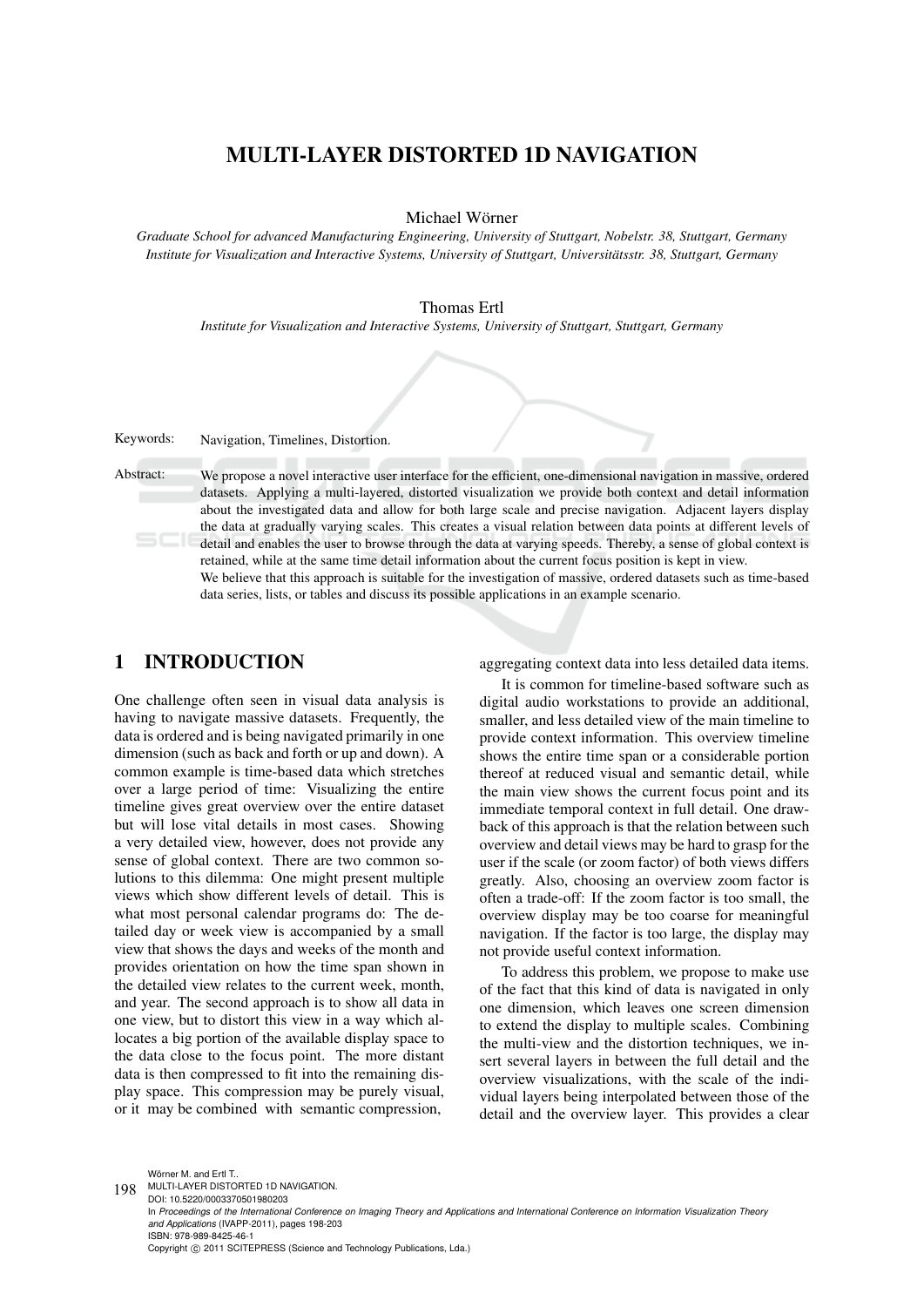# MULTI-LAYER DISTORTED 1D NAVIGATION

Michael Wörner

*Graduate School for advanced Manufacturing Engineering, University of Stuttgart, Nobelstr. 38, Stuttgart, Germany Institute for Visualization and Interactive Systems, University of Stuttgart, Universitatsstr. 38, Stuttgart, Germany ¨*

Thomas Ertl

*Institute for Visualization and Interactive Systems, University of Stuttgart, Stuttgart, Germany*

Keywords: Navigation, Timelines, Distortion.

Abstract: We propose a novel interactive user interface for the efficient, one-dimensional navigation in massive, ordered datasets. Applying a multi-layered, distorted visualization we provide both context and detail information about the investigated data and allow for both large scale and precise navigation. Adjacent layers display the data at gradually varying scales. This creates a visual relation between data points at different levels of detail and enables the user to browse through the data at varying speeds. Thereby, a sense of global context is

> retained, while at the same time detail information about the current focus position is kept in view. We believe that this approach is suitable for the investigation of massive, ordered datasets such as time-based data series, lists, or tables and discuss its possible applications in an example scenario.

## 1 INTRODUCTION

One challenge often seen in visual data analysis is having to navigate massive datasets. Frequently, the data is ordered and is being navigated primarily in one dimension (such as back and forth or up and down). A common example is time-based data which stretches over a large period of time: Visualizing the entire timeline gives great overview over the entire dataset but will lose vital details in most cases. Showing a very detailed view, however, does not provide any sense of global context. There are two common solutions to this dilemma: One might present multiple views which show different levels of detail. This is what most personal calendar programs do: The detailed day or week view is accompanied by a small view that shows the days and weeks of the month and provides orientation on how the time span shown in the detailed view relates to the current week, month, and year. The second approach is to show all data in one view, but to distort this view in a way which allocates a big portion of the available display space to the data close to the focus point. The more distant data is then compressed to fit into the remaining display space. This compression may be purely visual, or it may be combined with semantic compression,

aggregating context data into less detailed data items.

It is common for timeline-based software such as digital audio workstations to provide an additional, smaller, and less detailed view of the main timeline to provide context information. This overview timeline shows the entire time span or a considerable portion thereof at reduced visual and semantic detail, while the main view shows the current focus point and its immediate temporal context in full detail. One drawback of this approach is that the relation between such overview and detail views may be hard to grasp for the user if the scale (or zoom factor) of both views differs greatly. Also, choosing an overview zoom factor is often a trade-off: If the zoom factor is too small, the overview display may be too coarse for meaningful navigation. If the factor is too large, the display may not provide useful context information.

To address this problem, we propose to make use of the fact that this kind of data is navigated in only one dimension, which leaves one screen dimension to extend the display to multiple scales. Combining the multi-view and the distortion techniques, we insert several layers in between the full detail and the overview visualizations, with the scale of the individual layers being interpolated between those of the detail and the overview layer. This provides a clear

Wörner M. and Ertl T..

198 MULTI-LAYER DISTORTED 1D NAVIGATION. DOI: 10.5220/0003370501980203

In *Proceedings of the International Conference on Imaging Theory and Applications and International Conference on Information Visualization Theory and Applications* (IVAPP-2011), pages 198-203 ISBN: 978-989-8425-46-1

Copyright (C) 2011 SCITEPRESS (Science and Technology Publications, Lda.)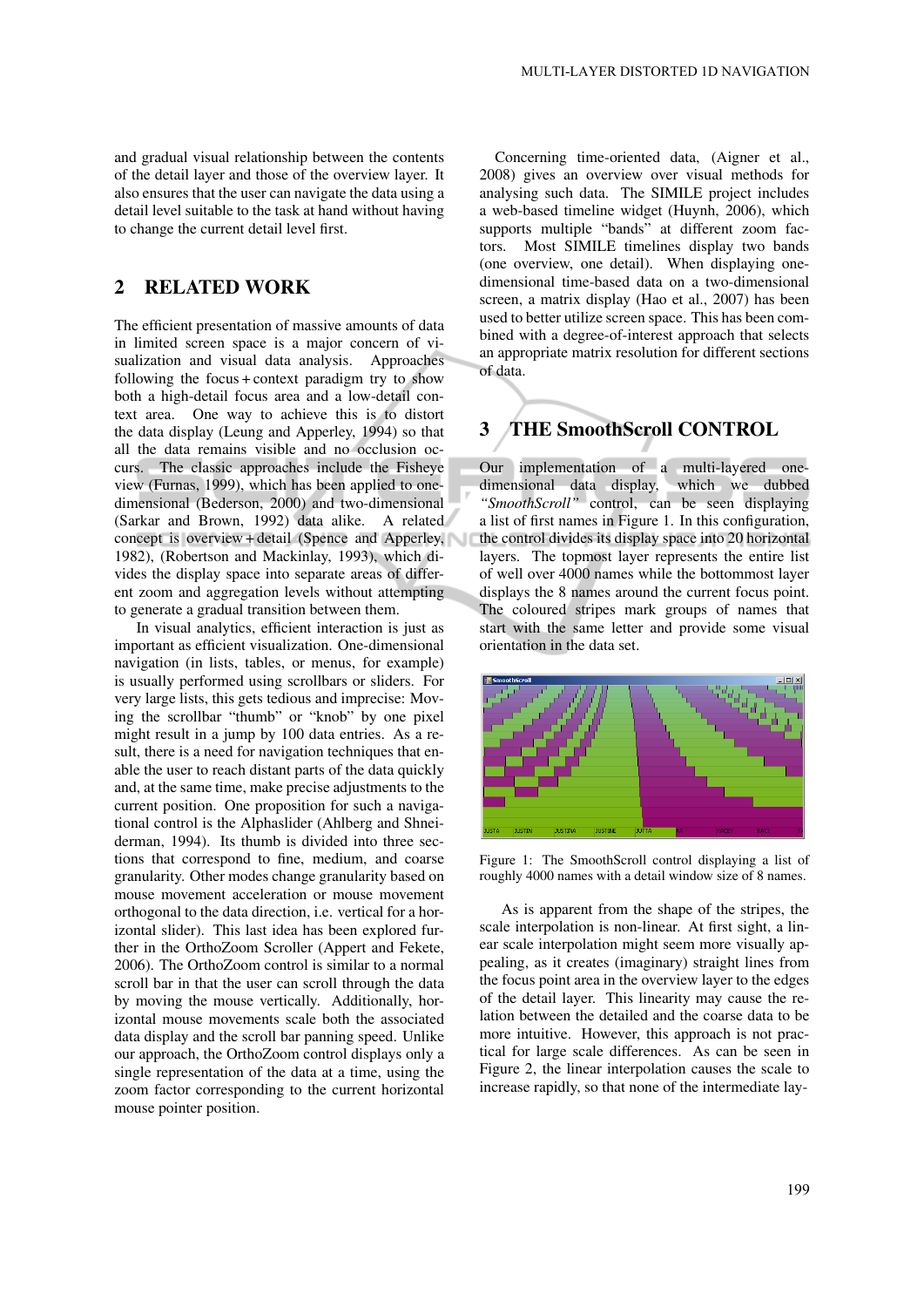and gradual visual relationship between the contents of the detail layer and those of the overview layer. It also ensures that the user can navigate the data using a detail level suitable to the task at hand without having to change the current detail level first.

## 2 RELATED WORK

The efficient presentation of massive amounts of data in limited screen space is a major concern of visualization and visual data analysis. Approaches following the focus + context paradigm try to show both a high-detail focus area and a low-detail context area. One way to achieve this is to distort the data display (Leung and Apperley, 1994) so that all the data remains visible and no occlusion occurs. The classic approaches include the Fisheye view (Furnas, 1999), which has been applied to onedimensional (Bederson, 2000) and two-dimensional (Sarkar and Brown, 1992) data alike. A related concept is overview + detail (Spence and Apperley, 1982), (Robertson and Mackinlay, 1993), which divides the display space into separate areas of different zoom and aggregation levels without attempting to generate a gradual transition between them.

In visual analytics, efficient interaction is just as important as efficient visualization. One-dimensional navigation (in lists, tables, or menus, for example) is usually performed using scrollbars or sliders. For very large lists, this gets tedious and imprecise: Moving the scrollbar "thumb" or "knob" by one pixel might result in a jump by 100 data entries. As a result, there is a need for navigation techniques that enable the user to reach distant parts of the data quickly and, at the same time, make precise adjustments to the current position. One proposition for such a navigational control is the Alphaslider (Ahlberg and Shneiderman, 1994). Its thumb is divided into three sections that correspond to fine, medium, and coarse granularity. Other modes change granularity based on mouse movement acceleration or mouse movement orthogonal to the data direction, i.e. vertical for a horizontal slider). This last idea has been explored further in the OrthoZoom Scroller (Appert and Fekete, 2006). The OrthoZoom control is similar to a normal scroll bar in that the user can scroll through the data by moving the mouse vertically. Additionally, horizontal mouse movements scale both the associated data display and the scroll bar panning speed. Unlike our approach, the OrthoZoom control displays only a single representation of the data at a time, using the zoom factor corresponding to the current horizontal mouse pointer position.

Concerning time-oriented data, (Aigner et al., 2008) gives an overview over visual methods for analysing such data. The SIMILE project includes a web-based timeline widget (Huynh, 2006), which supports multiple "bands" at different zoom factors. Most SIMILE timelines display two bands (one overview, one detail). When displaying onedimensional time-based data on a two-dimensional screen, a matrix display (Hao et al., 2007) has been used to better utilize screen space. This has been combined with a degree-of-interest approach that selects an appropriate matrix resolution for different sections of data.

# 3 THE SmoothScroll CONTROL

Our implementation of a multi-layered onedimensional data display, which we dubbed *"SmoothScroll"* control, can be seen displaying a list of first names in Figure 1. In this configuration, the control divides its display space into 20 horizontal layers. The topmost layer represents the entire list of well over 4000 names while the bottommost layer displays the 8 names around the current focus point. The coloured stripes mark groups of names that start with the same letter and provide some visual orientation in the data set.



Figure 1: The SmoothScroll control displaying a list of roughly 4000 names with a detail window size of 8 names.

As is apparent from the shape of the stripes, the scale interpolation is non-linear. At first sight, a linear scale interpolation might seem more visually appealing, as it creates (imaginary) straight lines from the focus point area in the overview layer to the edges of the detail layer. This linearity may cause the relation between the detailed and the coarse data to be more intuitive. However, this approach is not practical for large scale differences. As can be seen in Figure 2, the linear interpolation causes the scale to increase rapidly, so that none of the intermediate lay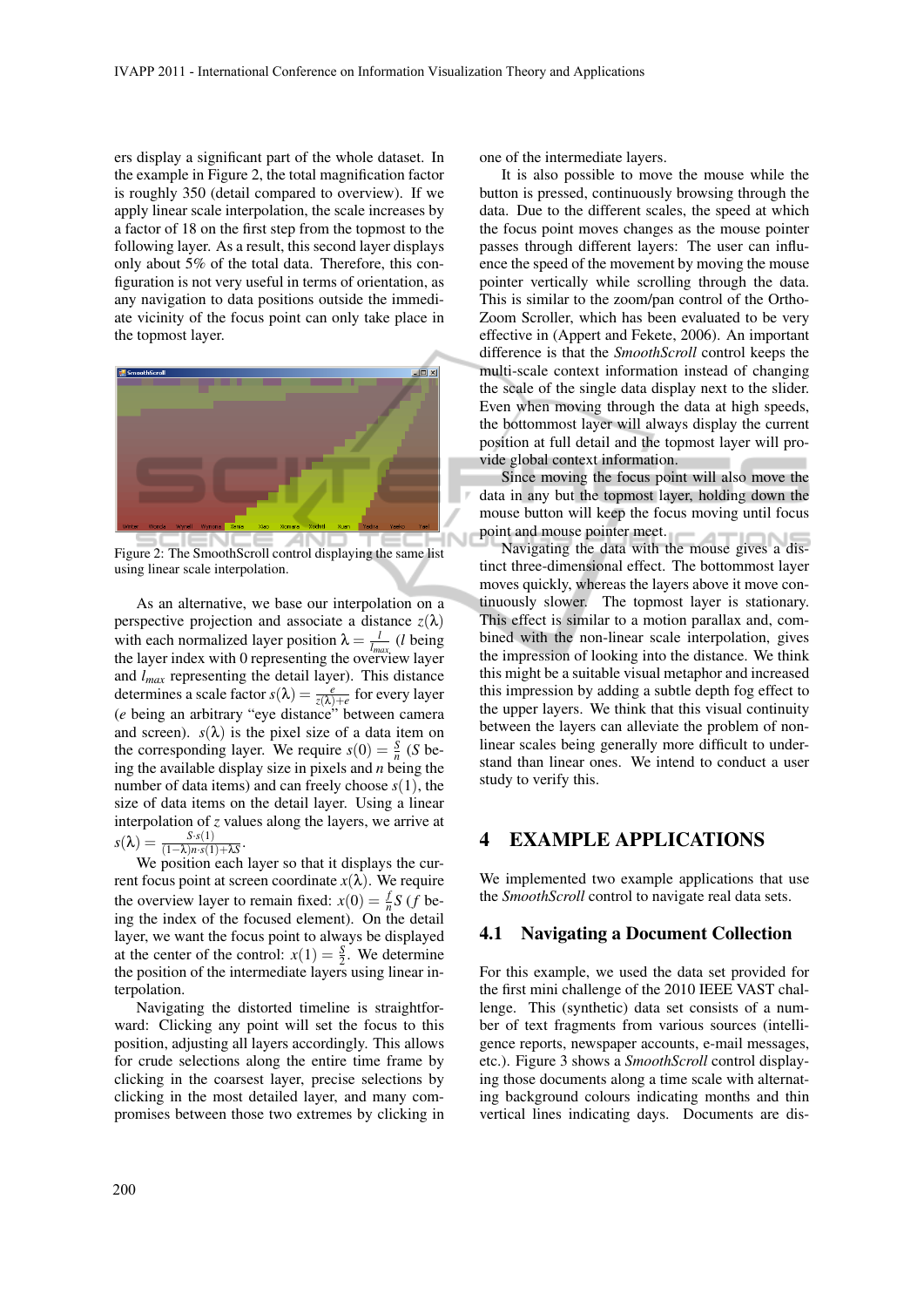ers display a significant part of the whole dataset. In the example in Figure 2, the total magnification factor is roughly 350 (detail compared to overview). If we apply linear scale interpolation, the scale increases by a factor of 18 on the first step from the topmost to the following layer. As a result, this second layer displays only about 5% of the total data. Therefore, this configuration is not very useful in terms of orientation, as any navigation to data positions outside the immediate vicinity of the focus point can only take place in the topmost layer.



Figure 2: The SmoothScroll control displaying the same list using linear scale interpolation.

As an alternative, we base our interpolation on a perspective projection and associate a distance  $z(\lambda)$ with each normalized layer position  $\lambda = \frac{l}{l_{max}}$  (*l* being the layer index with 0 representing the overview layer and *lmax* representing the detail layer). This distance determines a scale factor  $s(\lambda) = \frac{e}{z(\lambda)+e}$  for every layer (*e* being an arbitrary "eye distance" between camera and screen).  $s(\lambda)$  is the pixel size of a data item on the corresponding layer. We require  $s(0) = \frac{s}{n}$  (*S* being the available display size in pixels and *n* being the number of data items) and can freely choose *s*(1), the size of data items on the detail layer. Using a linear interpolation of *z* values along the layers, we arrive at  $s(\lambda) = \frac{S \cdot s(1)}{(1-\lambda)n \cdot s(1)+\lambda S}.$ 

We position each layer so that it displays the current focus point at screen coordinate  $x(\lambda)$ . We require the overview layer to remain fixed:  $x(0) = \frac{f}{n}S$  (*f* being the index of the focused element). On the detail layer, we want the focus point to always be displayed at the center of the control:  $x(1) = \frac{S}{2}$ . We determine the position of the intermediate layers using linear interpolation.

Navigating the distorted timeline is straightforward: Clicking any point will set the focus to this position, adjusting all layers accordingly. This allows for crude selections along the entire time frame by clicking in the coarsest layer, precise selections by clicking in the most detailed layer, and many compromises between those two extremes by clicking in one of the intermediate layers.

It is also possible to move the mouse while the button is pressed, continuously browsing through the data. Due to the different scales, the speed at which the focus point moves changes as the mouse pointer passes through different layers: The user can influence the speed of the movement by moving the mouse pointer vertically while scrolling through the data. This is similar to the zoom/pan control of the Ortho-Zoom Scroller, which has been evaluated to be very effective in (Appert and Fekete, 2006). An important difference is that the *SmoothScroll* control keeps the multi-scale context information instead of changing the scale of the single data display next to the slider. Even when moving through the data at high speeds, the bottommost layer will always display the current position at full detail and the topmost layer will provide global context information.

Since moving the focus point will also move the data in any but the topmost layer, holding down the mouse button will keep the focus moving until focus point and mouse pointer meet.

Navigating the data with the mouse gives a distinct three-dimensional effect. The bottommost layer moves quickly, whereas the layers above it move continuously slower. The topmost layer is stationary. This effect is similar to a motion parallax and, combined with the non-linear scale interpolation, gives the impression of looking into the distance. We think this might be a suitable visual metaphor and increased this impression by adding a subtle depth fog effect to the upper layers. We think that this visual continuity between the layers can alleviate the problem of nonlinear scales being generally more difficult to understand than linear ones. We intend to conduct a user study to verify this.

## 4 EXAMPLE APPLICATIONS

We implemented two example applications that use the *SmoothScroll* control to navigate real data sets.

#### 4.1 Navigating a Document Collection

For this example, we used the data set provided for the first mini challenge of the 2010 IEEE VAST challenge. This (synthetic) data set consists of a number of text fragments from various sources (intelligence reports, newspaper accounts, e-mail messages, etc.). Figure 3 shows a *SmoothScroll* control displaying those documents along a time scale with alternating background colours indicating months and thin vertical lines indicating days. Documents are dis-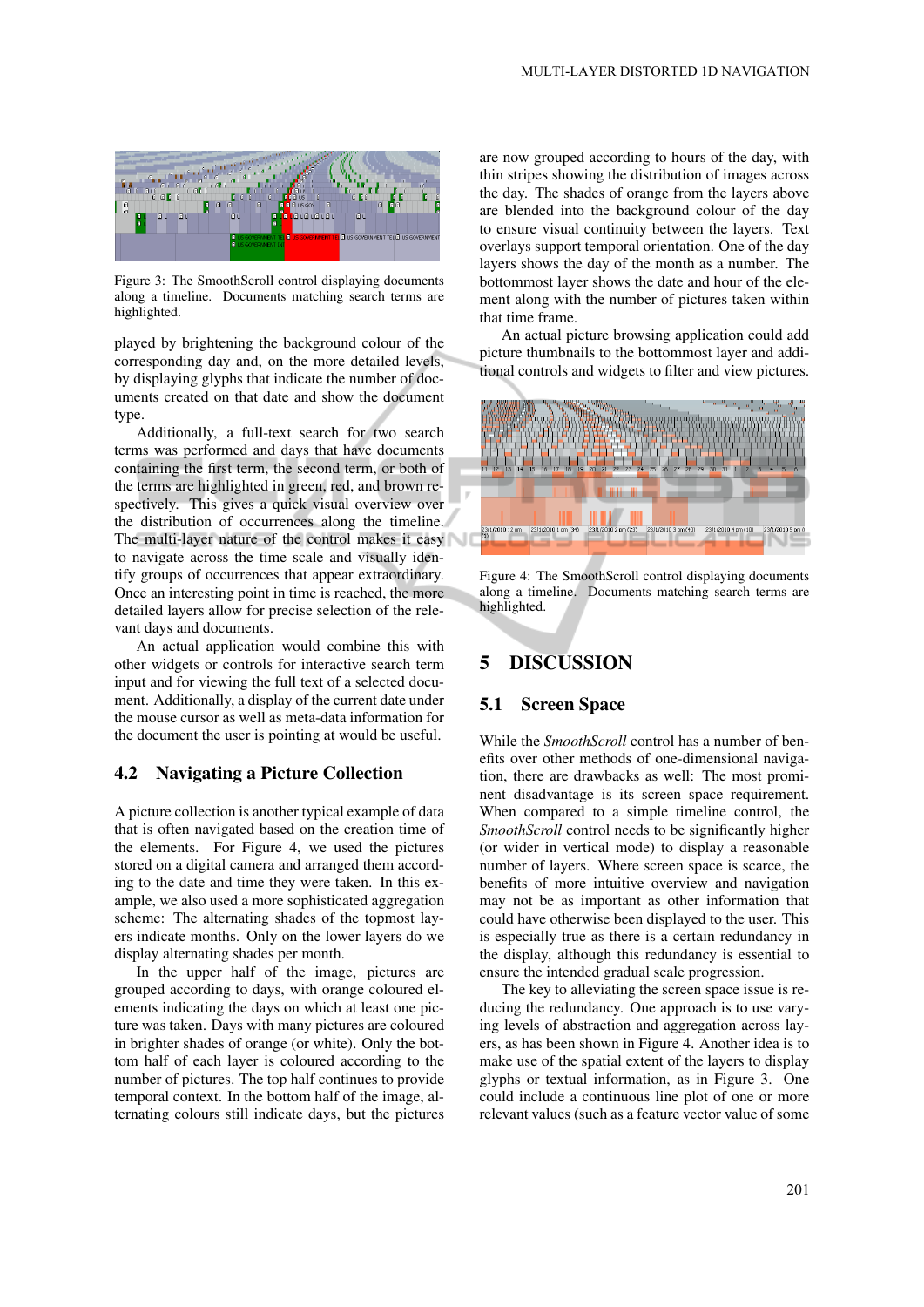

Figure 3: The SmoothScroll control displaying documents along a timeline. Documents matching search terms are highlighted.

played by brightening the background colour of the corresponding day and, on the more detailed levels, by displaying glyphs that indicate the number of documents created on that date and show the document type.

Additionally, a full-text search for two search terms was performed and days that have documents containing the first term, the second term, or both of the terms are highlighted in green, red, and brown respectively. This gives a quick visual overview over the distribution of occurrences along the timeline. The multi-layer nature of the control makes it easy to navigate across the time scale and visually identify groups of occurrences that appear extraordinary. Once an interesting point in time is reached, the more detailed layers allow for precise selection of the relevant days and documents.

An actual application would combine this with other widgets or controls for interactive search term input and for viewing the full text of a selected document. Additionally, a display of the current date under the mouse cursor as well as meta-data information for the document the user is pointing at would be useful.

#### 4.2 Navigating a Picture Collection

A picture collection is another typical example of data that is often navigated based on the creation time of the elements. For Figure 4, we used the pictures stored on a digital camera and arranged them according to the date and time they were taken. In this example, we also used a more sophisticated aggregation scheme: The alternating shades of the topmost layers indicate months. Only on the lower layers do we display alternating shades per month.

In the upper half of the image, pictures are grouped according to days, with orange coloured elements indicating the days on which at least one picture was taken. Days with many pictures are coloured in brighter shades of orange (or white). Only the bottom half of each layer is coloured according to the number of pictures. The top half continues to provide temporal context. In the bottom half of the image, alternating colours still indicate days, but the pictures

are now grouped according to hours of the day, with thin stripes showing the distribution of images across the day. The shades of orange from the layers above are blended into the background colour of the day to ensure visual continuity between the layers. Text overlays support temporal orientation. One of the day layers shows the day of the month as a number. The bottommost layer shows the date and hour of the element along with the number of pictures taken within that time frame.

An actual picture browsing application could add picture thumbnails to the bottommost layer and additional controls and widgets to filter and view pictures.



Figure 4: The SmoothScroll control displaying documents along a timeline. Documents matching search terms are highlighted.

## 5 DISCUSSION

#### 5.1 Screen Space

While the *SmoothScroll* control has a number of benefits over other methods of one-dimensional navigation, there are drawbacks as well: The most prominent disadvantage is its screen space requirement. When compared to a simple timeline control, the *SmoothScroll* control needs to be significantly higher (or wider in vertical mode) to display a reasonable number of layers. Where screen space is scarce, the benefits of more intuitive overview and navigation may not be as important as other information that could have otherwise been displayed to the user. This is especially true as there is a certain redundancy in the display, although this redundancy is essential to ensure the intended gradual scale progression.

The key to alleviating the screen space issue is reducing the redundancy. One approach is to use varying levels of abstraction and aggregation across layers, as has been shown in Figure 4. Another idea is to make use of the spatial extent of the layers to display glyphs or textual information, as in Figure 3. One could include a continuous line plot of one or more relevant values (such as a feature vector value of some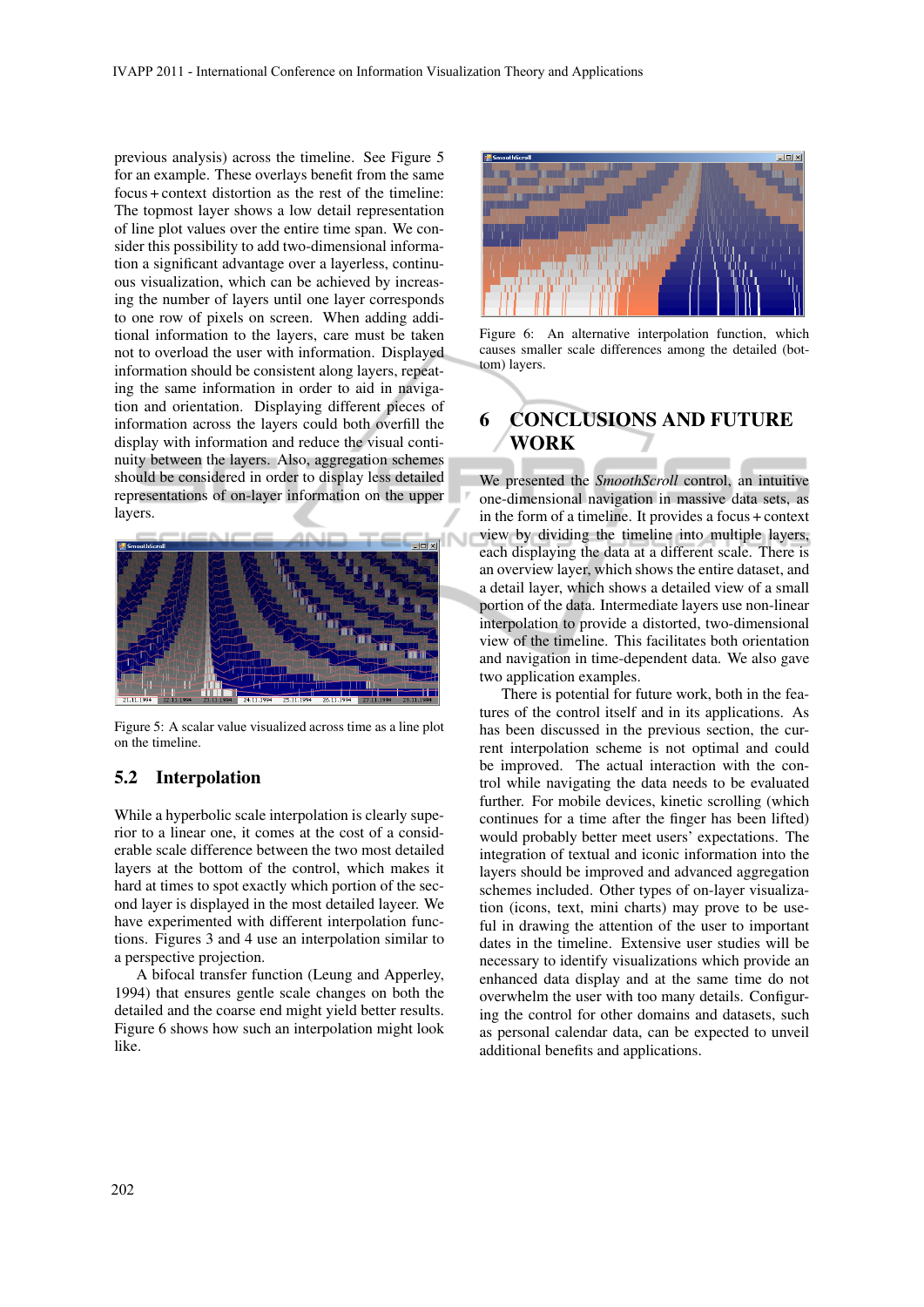previous analysis) across the timeline. See Figure 5 for an example. These overlays benefit from the same focus + context distortion as the rest of the timeline: The topmost layer shows a low detail representation of line plot values over the entire time span. We consider this possibility to add two-dimensional information a significant advantage over a layerless, continuous visualization, which can be achieved by increasing the number of layers until one layer corresponds to one row of pixels on screen. When adding additional information to the layers, care must be taken not to overload the user with information. Displayed information should be consistent along layers, repeating the same information in order to aid in navigation and orientation. Displaying different pieces of information across the layers could both overfill the display with information and reduce the visual continuity between the layers. Also, aggregation schemes should be considered in order to display less detailed representations of on-layer information on the upper layers.



Figure 5: A scalar value visualized across time as a line plot on the timeline.

## 5.2 Interpolation

While a hyperbolic scale interpolation is clearly superior to a linear one, it comes at the cost of a considerable scale difference between the two most detailed layers at the bottom of the control, which makes it hard at times to spot exactly which portion of the second layer is displayed in the most detailed layeer. We have experimented with different interpolation functions. Figures 3 and 4 use an interpolation similar to a perspective projection.

A bifocal transfer function (Leung and Apperley, 1994) that ensures gentle scale changes on both the detailed and the coarse end might yield better results. Figure 6 shows how such an interpolation might look like.



Figure 6: An alternative interpolation function, which causes smaller scale differences among the detailed (bottom) layers.

# 6 CONCLUSIONS AND FUTURE WORK

We presented the *SmoothScroll* control, an intuitive one-dimensional navigation in massive data sets, as in the form of a timeline. It provides a focus + context view by dividing the timeline into multiple layers, each displaying the data at a different scale. There is an overview layer, which shows the entire dataset, and a detail layer, which shows a detailed view of a small portion of the data. Intermediate layers use non-linear interpolation to provide a distorted, two-dimensional view of the timeline. This facilitates both orientation and navigation in time-dependent data. We also gave two application examples.

There is potential for future work, both in the features of the control itself and in its applications. As has been discussed in the previous section, the current interpolation scheme is not optimal and could be improved. The actual interaction with the control while navigating the data needs to be evaluated further. For mobile devices, kinetic scrolling (which continues for a time after the finger has been lifted) would probably better meet users' expectations. The integration of textual and iconic information into the layers should be improved and advanced aggregation schemes included. Other types of on-layer visualization (icons, text, mini charts) may prove to be useful in drawing the attention of the user to important dates in the timeline. Extensive user studies will be necessary to identify visualizations which provide an enhanced data display and at the same time do not overwhelm the user with too many details. Configuring the control for other domains and datasets, such as personal calendar data, can be expected to unveil additional benefits and applications.